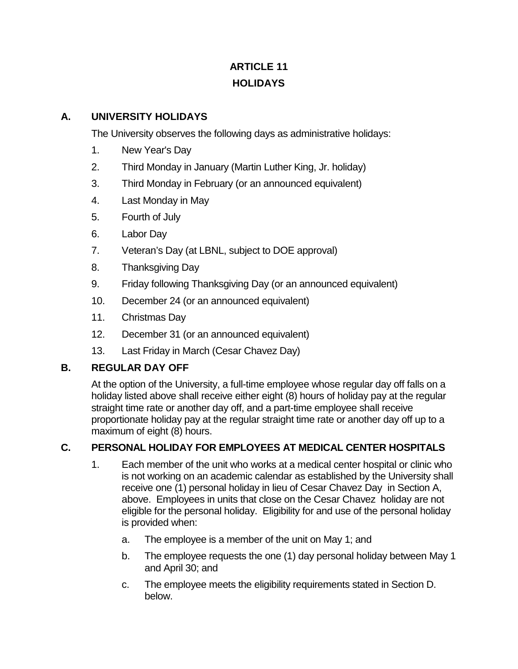# **ARTICLE 11 HOLIDAYS**

### **A. UNIVERSITY HOLIDAYS**

The University observes the following days as administrative holidays:

- 1. New Year's Day
- 2. Third Monday in January (Martin Luther King, Jr. holiday)
- 3. Third Monday in February (or an announced equivalent)
- 4. Last Monday in May
- 5. Fourth of July
- 6. Labor Day
- 7. Veteran's Day (at LBNL, subject to DOE approval)
- 8. Thanksgiving Day
- 9. Friday following Thanksgiving Day (or an announced equivalent)
- 10. December 24 (or an announced equivalent)
- 11. Christmas Day
- 12. December 31 (or an announced equivalent)
- 13. Last Friday in March (Cesar Chavez Day)

#### **B. REGULAR DAY OFF**

At the option of the University, a full-time employee whose regular day off falls on a holiday listed above shall receive either eight (8) hours of holiday pay at the regular straight time rate or another day off, and a part-time employee shall receive proportionate holiday pay at the regular straight time rate or another day off up to a maximum of eight (8) hours.

### **C. PERSONAL HOLIDAY FOR EMPLOYEES AT MEDICAL CENTER HOSPITALS**

- 1. Each member of the unit who works at a medical center hospital or clinic who is not working on an academic calendar as established by the University shall receive one (1) personal holiday in lieu of Cesar Chavez Day in Section A, above. Employees in units that close on the Cesar Chavez holiday are not eligible for the personal holiday. Eligibility for and use of the personal holiday is provided when:
	- a. The employee is a member of the unit on May 1; and
	- b. The employee requests the one (1) day personal holiday between May 1 and April 30; and
	- c. The employee meets the eligibility requirements stated in Section D. below.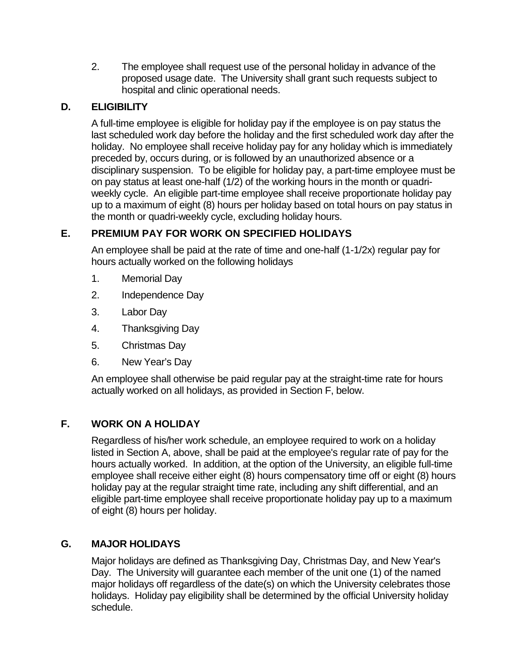2. The employee shall request use of the personal holiday in advance of the proposed usage date. The University shall grant such requests subject to hospital and clinic operational needs.

# **D. ELIGIBILITY**

A full-time employee is eligible for holiday pay if the employee is on pay status the last scheduled work day before the holiday and the first scheduled work day after the holiday. No employee shall receive holiday pay for any holiday which is immediately preceded by, occurs during, or is followed by an unauthorized absence or a disciplinary suspension. To be eligible for holiday pay, a part-time employee must be on pay status at least one-half (1/2) of the working hours in the month or quadriweekly cycle. An eligible part-time employee shall receive proportionate holiday pay up to a maximum of eight (8) hours per holiday based on total hours on pay status in the month or quadri-weekly cycle, excluding holiday hours.

# **E. PREMIUM PAY FOR WORK ON SPECIFIED HOLIDAYS**

An employee shall be paid at the rate of time and one-half (1-1/2x) regular pay for hours actually worked on the following holidays

- 1. Memorial Day
- 2. Independence Day
- 3. Labor Day
- 4. Thanksgiving Day
- 5. Christmas Day
- 6. New Year's Day

An employee shall otherwise be paid regular pay at the straight-time rate for hours actually worked on all holidays, as provided in Section F, below.

# **F. WORK ON A HOLIDAY**

Regardless of his/her work schedule, an employee required to work on a holiday listed in Section A, above, shall be paid at the employee's regular rate of pay for the hours actually worked. In addition, at the option of the University, an eligible full-time employee shall receive either eight (8) hours compensatory time off or eight (8) hours holiday pay at the regular straight time rate, including any shift differential, and an eligible part-time employee shall receive proportionate holiday pay up to a maximum of eight (8) hours per holiday.

### **G. MAJOR HOLIDAYS**

Major holidays are defined as Thanksgiving Day, Christmas Day, and New Year's Day. The University will guarantee each member of the unit one (1) of the named major holidays off regardless of the date(s) on which the University celebrates those holidays. Holiday pay eligibility shall be determined by the official University holiday schedule.